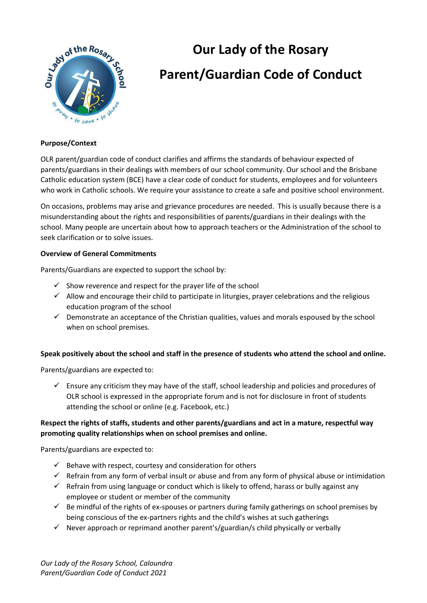

# **Our Lady of the Rosary Parent/Guardian Code of Conduct**

### **Purpose/Context**

OLR parent/guardian code of conduct clarifies and affirms the standards of behaviour expected of parents/guardians in their dealings with members of our school community. Our school and the Brisbane Catholic education system (BCE) have a clear code of conduct for students, employees and for volunteers who work in Catholic schools. We require your assistance to create a safe and positive school environment.

On occasions, problems may arise and grievance procedures are needed. This is usually because there is a misunderstanding about the rights and responsibilities of parents/guardians in their dealings with the school. Many people are uncertain about how to approach teachers or the Administration of the school to seek clarification or to solve issues.

#### **Overview of General Commitments**

Parents/Guardians are expected to support the school by:

- $\checkmark$  Show reverence and respect for the prayer life of the school
- $\checkmark$  Allow and encourage their child to participate in liturgies, prayer celebrations and the religious education program of the school
- $\checkmark$  Demonstrate an acceptance of the Christian qualities, values and morals espoused by the school when on school premises.

#### **Speak positively about the school and staff in the presence of students who attend the school and online.**

Parents/guardians are expected to:

 $\checkmark$  Ensure any criticism they may have of the staff, school leadership and policies and procedures of OLR school is expressed in the appropriate forum and is not for disclosure in front of students attending the school or online (e.g. Facebook, etc.)

## **Respect the rights of staffs, students and other parents/guardians and act in a mature, respectful way promoting quality relationships when on school premises and online.**

Parents/guardians are expected to:

- $\checkmark$  Behave with respect, courtesy and consideration for others
- $\checkmark$  Refrain from any form of verbal insult or abuse and from any form of physical abuse or intimidation
- $\checkmark$  Refrain from using language or conduct which is likely to offend, harass or bully against any employee or student or member of the community
- $\checkmark$  Be mindful of the rights of ex-spouses or partners during family gatherings on school premises by being conscious of the ex-partners rights and the child's wishes at such gatherings
- $\checkmark$  Never approach or reprimand another parent's/guardian/s child physically or verbally

*Our Lady of the Rosary School, Caloundra Parent/Guardian Code of Conduct 2021*